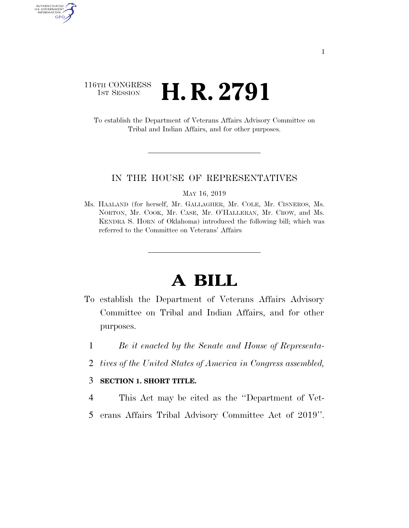### 116TH CONGRESS **1st Session H. R. 2791**

AUTHENTICATED<br>U.S. GOVERNMENT<br>INFORMATION GPO

> To establish the Department of Veterans Affairs Advisory Committee on Tribal and Indian Affairs, and for other purposes.

#### IN THE HOUSE OF REPRESENTATIVES

MAY 16, 2019

Ms. HAALAND (for herself, Mr. GALLAGHER, Mr. COLE, Mr. CISNEROS, Ms. NORTON, Mr. COOK, Mr. CASE, Mr. O'HALLERAN, Mr. CROW, and Ms. KENDRA S. HORN of Oklahoma) introduced the following bill; which was referred to the Committee on Veterans' Affairs

# **A BILL**

- To establish the Department of Veterans Affairs Advisory Committee on Tribal and Indian Affairs, and for other purposes.
	- 1 *Be it enacted by the Senate and House of Representa-*
	- 2 *tives of the United States of America in Congress assembled,*

#### 3 **SECTION 1. SHORT TITLE.**

- 4 This Act may be cited as the ''Department of Vet-
- 5 erans Affairs Tribal Advisory Committee Act of 2019''.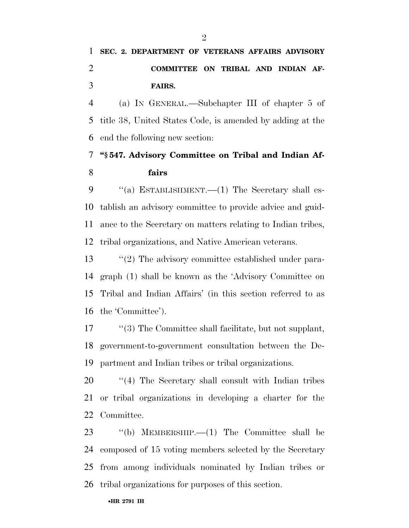## **SEC. 2. DEPARTMENT OF VETERANS AFFAIRS ADVISORY COMMITTEE ON TRIBAL AND INDIAN AF-FAIRS.**

 (a) IN GENERAL.—Subchapter III of chapter 5 of title 38, United States Code, is amended by adding at the end the following new section:

### **''§ 547. Advisory Committee on Tribal and Indian Af-fairs**

9 "(a) ESTABLISHMENT.—(1) The Secretary shall es- tablish an advisory committee to provide advice and guid- ance to the Secretary on matters relating to Indian tribes, tribal organizations, and Native American veterans.

 ''(2) The advisory committee established under para- graph (1) shall be known as the 'Advisory Committee on Tribal and Indian Affairs' (in this section referred to as the 'Committee').

17 ''(3) The Committee shall facilitate, but not supplant, government-to-government consultation between the De-partment and Indian tribes or tribal organizations.

20 "(4) The Secretary shall consult with Indian tribes or tribal organizations in developing a charter for the Committee.

 ''(b) MEMBERSHIP.—(1) The Committee shall be composed of 15 voting members selected by the Secretary from among individuals nominated by Indian tribes or tribal organizations for purposes of this section.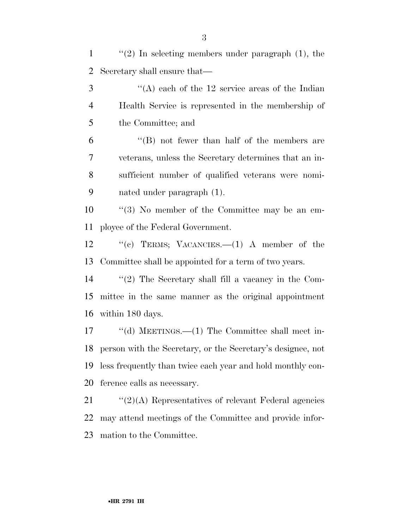| $\mathbf{1}$   | $\lq(2)$ In selecting members under paragraph $(1)$ , the      |
|----------------|----------------------------------------------------------------|
| $\overline{2}$ | Secretary shall ensure that—                                   |
| 3              | "(A) each of the $12$ service areas of the Indian              |
| $\overline{4}$ | Health Service is represented in the membership of             |
| 5              | the Committee; and                                             |
| 6              | $\lq\lq (B)$ not fewer than half of the members are            |
| 7              | veterans, unless the Secretary determines that an in-          |
| 8              | sufficient number of qualified veterans were nomi-             |
| 9              | nated under paragraph $(1)$ .                                  |
| 10             | $\lq(3)$ No member of the Committee may be an em-              |
| 11             | ployee of the Federal Government.                              |
| 12             | "(c) TERMS; VACANCIES. $-$ (1) A member of the                 |
| 13             | Committee shall be appointed for a term of two years.          |
| 14             | $\lq(2)$ The Secretary shall fill a vacancy in the Com-        |
| 15             | mittee in the same manner as the original appointment          |
| 16             | within 180 days.                                               |
| 17             | "(d) MEETINGS.— $(1)$ The Committee shall meet in-             |
|                | 18 person with the Secretary, or the Secretary's designee, not |
| 19             | less frequently than twice each year and hold monthly con-     |
| 20             | ference calls as necessary.                                    |
| 21             | $\lq(2)(A)$ Representatives of relevant Federal agencies       |
| 22             | may attend meetings of the Committee and provide infor-        |
|                |                                                                |

mation to the Committee.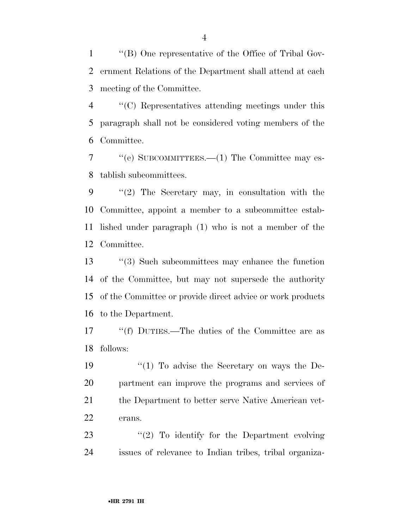''(B) One representative of the Office of Tribal Gov- ernment Relations of the Department shall attend at each meeting of the Committee.

 ''(C) Representatives attending meetings under this paragraph shall not be considered voting members of the Committee.

 ''(e) SUBCOMMITTEES.—(1) The Committee may es-tablish subcommittees.

 ''(2) The Secretary may, in consultation with the Committee, appoint a member to a subcommittee estab- lished under paragraph (1) who is not a member of the Committee.

 ''(3) Such subcommittees may enhance the function of the Committee, but may not supersede the authority of the Committee or provide direct advice or work products to the Department.

 ''(f) DUTIES.—The duties of the Committee are as follows:

19 ''(1) To advise the Secretary on ways the De- partment can improve the programs and services of 21 the Department to better serve Native American vet-erans.

23 "(2) To identify for the Department evolving issues of relevance to Indian tribes, tribal organiza-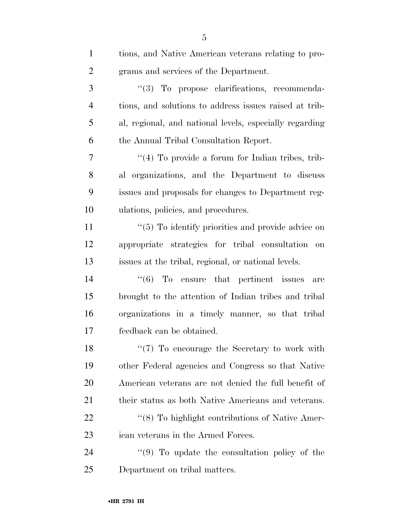| $\mathbf{1}$   | tions, and Native American veterans relating to pro-        |
|----------------|-------------------------------------------------------------|
| $\overline{2}$ | grams and services of the Department.                       |
| 3              | "(3) To propose clarifications, recommenda-                 |
| $\overline{4}$ | tions, and solutions to address issues raised at trib-      |
| 5              | al, regional, and national levels, especially regarding     |
| 6              | the Annual Tribal Consultation Report.                      |
| 7              | "(4) To provide a forum for Indian tribes, trib-            |
| 8              | al organizations, and the Department to discuss             |
| 9              | issues and proposals for changes to Department reg-         |
| 10             | ulations, policies, and procedures.                         |
| 11             | $\cdot$ (5) To identify priorities and provide advice on    |
| 12             | appropriate strategies for tribal consultation<br>on        |
| 13             | issues at the tribal, regional, or national levels.         |
| 14             | $\cdot\cdot\cdot(6)$ To ensure that pertinent issues<br>are |
| 15             | brought to the attention of Indian tribes and tribal        |
| 16             | organizations in a timely manner, so that tribal            |
| 17             | feedback can be obtained.                                   |
| 18             | $\lq(7)$ To encourage the Secretary to work with            |
| 19             | other Federal agencies and Congress so that Native          |
| 20             | American veterans are not denied the full benefit of        |
| 21             | their status as both Native Americans and veterans.         |
| 22             | "(8) To highlight contributions of Native Amer-             |
| 23             | ican veterans in the Armed Forces.                          |
| 24             | $\cdot$ (9) To update the consultation policy of the        |
| 25             | Department on tribal matters.                               |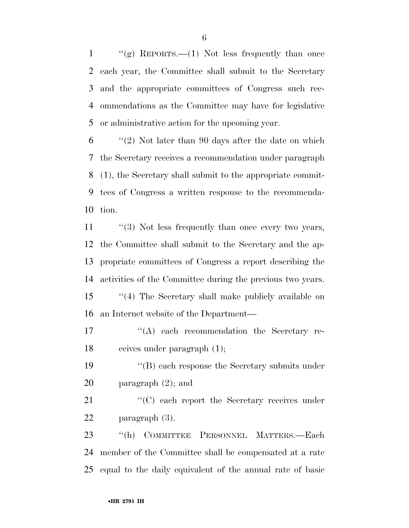$\langle \langle \mathbf{g} \rangle$  REPORTS.—(1) Not less frequently than once each year, the Committee shall submit to the Secretary and the appropriate committees of Congress such rec- ommendations as the Committee may have for legislative or administrative action for the upcoming year.

 "(2) Not later than 90 days after the date on which the Secretary receives a recommendation under paragraph (1), the Secretary shall submit to the appropriate commit- tees of Congress a written response to the recommenda-tion.

11 ''(3) Not less frequently than once every two years, the Committee shall submit to the Secretary and the ap- propriate committees of Congress a report describing the activities of the Committee during the previous two years. ''(4) The Secretary shall make publicly available on an Internet website of the Department—

17  $\langle A \rangle$  each recommendation the Secretary re-ceives under paragraph (1);

19 ''(B) each response the Secretary submits under paragraph (2); and

21 "'(C) each report the Secretary receives under paragraph (3).

 ''(h) COMMITTEE PERSONNEL MATTERS.—Each member of the Committee shall be compensated at a rate equal to the daily equivalent of the annual rate of basic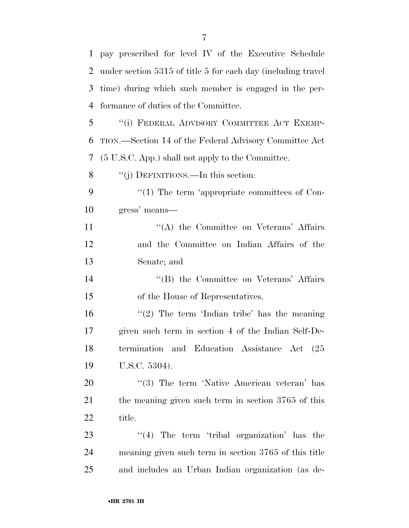| $\mathbf{1}$   | pay prescribed for level IV of the Executive Schedule        |
|----------------|--------------------------------------------------------------|
| 2              | under section 5315 of title 5 for each day (including travel |
| 3              | time) during which such member is engaged in the per-        |
| $\overline{4}$ | formance of duties of the Committee.                         |
| 5              | "(i) FEDERAL ADVISORY COMMITTEE ACT EXEMP-                   |
| 6              | TION.—Section 14 of the Federal Advisory Committee Act       |
| 7              | (5 U.S.C. App.) shall not apply to the Committee.            |
| 8              | "(j) DEFINITIONS.—In this section:                           |
| 9              | $\lq(1)$ The term 'appropriate committees of Con-            |
| 10             | gress' means—                                                |
| 11             | "(A) the Committee on Veterans' Affairs                      |
| 12             | and the Committee on Indian Affairs of the                   |
| 13             | Senate; and                                                  |
| 14             | "(B) the Committee on Veterans' Affairs                      |
| 15             | of the House of Representatives.                             |
| 16             | "(2) The term 'Indian tribe' has the meaning                 |
| 17             | given such term in section 4 of the Indian Self-De-          |
| 18             | termination and Education Assistance Act (25                 |
| 19             | U.S.C. 5304).                                                |
| 20             | $\cdot$ (3) The term 'Native American veteran' has           |
| 21             | the meaning given such term in section 3765 of this          |
| 22             | title.                                                       |
| 23             | $\lq(4)$ The term 'tribal organization' has the              |
| 24             | meaning given such term in section 3765 of this title        |
| 25             | and includes an Urban Indian organization (as de-            |